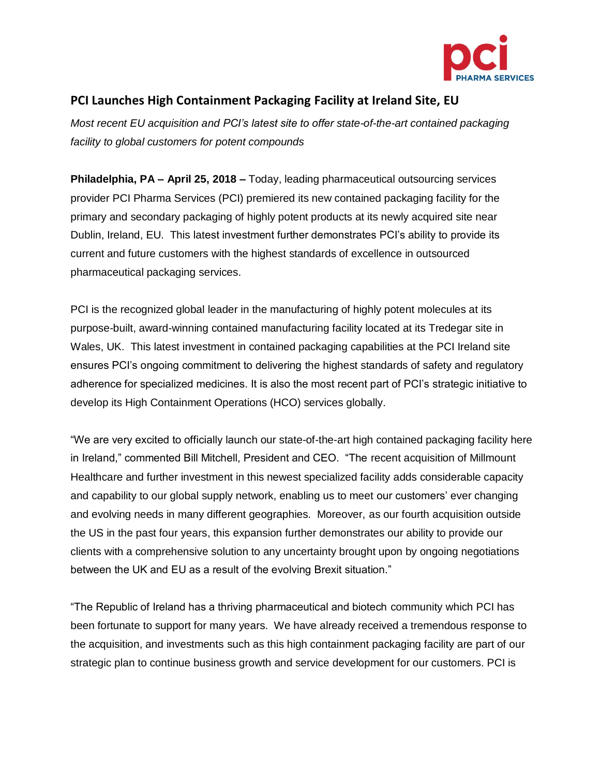

## **PCI Launches High Containment Packaging Facility at Ireland Site, EU**

*Most recent EU acquisition and PCI's latest site to offer state-of-the-art contained packaging facility to global customers for potent compounds*

**Philadelphia, PA – April 25, 2018 –** Today, leading pharmaceutical outsourcing services provider PCI Pharma Services (PCI) premiered its new contained packaging facility for the primary and secondary packaging of highly potent products at its newly acquired site near Dublin, Ireland, EU. This latest investment further demonstrates PCI's ability to provide its current and future customers with the highest standards of excellence in outsourced pharmaceutical packaging services.

PCI is the recognized global leader in the manufacturing of highly potent molecules at its purpose-built, award-winning contained manufacturing facility located at its Tredegar site in Wales, UK. This latest investment in contained packaging capabilities at the PCI Ireland site ensures PCI's ongoing commitment to delivering the highest standards of safety and regulatory adherence for specialized medicines. It is also the most recent part of PCI's strategic initiative to develop its High Containment Operations (HCO) services globally.

"We are very excited to officially launch our state-of-the-art high contained packaging facility here in Ireland," commented Bill Mitchell, President and CEO. "The recent acquisition of Millmount Healthcare and further investment in this newest specialized facility adds considerable capacity and capability to our global supply network, enabling us to meet our customers' ever changing and evolving needs in many different geographies. Moreover, as our fourth acquisition outside the US in the past four years, this expansion further demonstrates our ability to provide our clients with a comprehensive solution to any uncertainty brought upon by ongoing negotiations between the UK and EU as a result of the evolving Brexit situation."

"The Republic of Ireland has a thriving pharmaceutical and biotech community which PCI has been fortunate to support for many years. We have already received a tremendous response to the acquisition, and investments such as this high containment packaging facility are part of our strategic plan to continue business growth and service development for our customers. PCI is